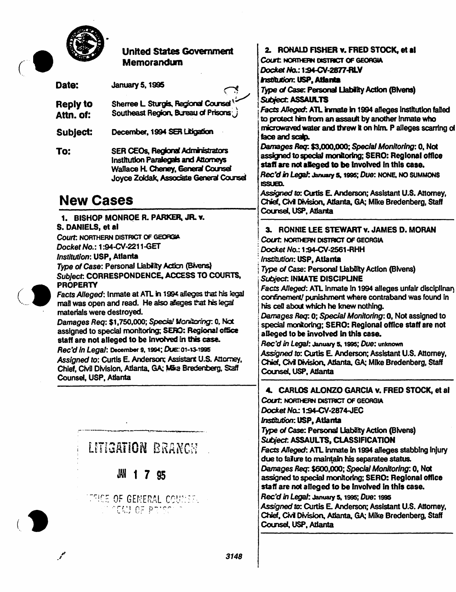

#### **United States Government Memorandum**

| Date:                        | <b>January 5, 1995</b>                                                     |  |
|------------------------------|----------------------------------------------------------------------------|--|
| <b>Reply to</b><br>Attn. of: | Sherree L Sturgis, Regional Counsel<br>Southeast Region, Bureau of Prisons |  |

- December, 1994 SER Litigation Subject:
- **SER CEOs, Regional Administrators** To: **Institution Paralegals and Attomeys** Wallace H. Cheney, General Counsel Joyce Zoldak, Associate General Counsel

## **New Cases**

1. BISHOP MONROE R. PARKER. JR. v. S. DANIELS, et al. Court: NORTHERN DISTRICT OF GEORGIA Docket No.: 1:94-CV-2211-GET Institution: USP, Atlanta Type of Case: Personal Liability Action (Bivens) Sublect: CORRESPONDENCE, ACCESS TO COURTS,



**PROPERTY** Facts Alleged: Inmate at ATL in 1994 alleges that his legal mail was open and read. He also alleges that his legal

materials were destroyed. Damages Reg: \$1,750,000; Special Monitoring: 0, Not assigned to special monitoring; SERO: Regional office staff are not alleged to be involved in this case.

Rec'd in Legal: December 9, 1994; Due: 01-13-1995 Assigned to: Curtis E. Anderson; Assistant U.S. Attorney. Chief, Civil Division, Atlanta, GA; Mike Bredenberg, Saff Counsel, USP, Atlanta

# LITIGATION BRANCH

## JAN 1 7 95

**THOE OF GENERAL COUNSEL INCAY OF PRISC** 

### 2. RONALD FISHER v. FRED STOCK, et al.

Court NORTHERN DISTRICT OF GEORGIA Docket No.: 1:94-CN-2877-RLV

**Institution: USP, Atlanta** 

Type of Case: Personal Liability Action (Blvens) **Subject. ASSAULTS** 

Facts Alleged: ATL inmate in 1994 alleges institution failed to protect him from an assault by another inmate who microwaved water and threw it on him. P alleges scarring of face and scalp.

Darrages Req: \$3,000,000; Special Monitoring: 0, Not assigned to special monitoring: SERO: Regional office staff are not alleged to be involved in this case.

Rec'd in Legal: January 5, 1995; Due: NONE, NO SUMMONS  $\mathbf{sum}$ 

Assigned to: Curtis E. Anderson: Assistant U.S. Attorney. Chief, Civil Division, Atlanta, GA; Mike Bredenberg, Staff Counsel, USP, Atlanta

3. RONNIE LEE STEWART v. JAMES D. MORAN Court: NORTHERN DISTRICT OF GEORGIA Docket No.: 1:94-CV-2561-RHH Institution: USP, Atlanta Type of Case: Personal Liability Action (Bivens) **Subject. INMATE DISCIPLINE** Facts Alleged: ATL inmate in 1994 alleges unfair disciplinan confinement/ punishment where contraband was found in his cell about which he knew nothing. Darnages Req. 0; Special Monitoring: 0, Not assigned to special montoring: SERO: Regional office staff are not alleged to be involved in this case. Rec'd in Legal: January 5, 1995; Due: unknown Assigned to: Curtis E. Anderson; Assistant U.S. Attorney, Chief, Civil Division, Atlanta, GA; Mike Bredenberg, Staff

#### 4. CARLOS ALONZO GARCIA v. FRED STOCK, et al

Court: NORTHERN DISTRICT OF GEORGIA Docket No.: 1:94-CN-2874-JEC Institution: USP, Atlanta Type of Case: Personal Liability Action (Bivens) Subject. ASSAULTS, CLASSIFICATION Facts Alleged: ATL inmate in 1994 alleges stabbing injury due to failure to maintain his separatee status. Damages Req. \$600,000; Special Monitoring: 0, Not assigned to special monitoring; SERO: Regional office staff are not alleged to be involved in this case. Rec'd in Legal: January 5, 1995; Due: 1995 Assigned to: Curtis E. Anderson: Assistant U.S. Attorney. Chief, Civil Division, Atlanta, GA; Mike Bredenberg, Staff

Counsel, USP, Atlanta

Counsel, USP, Atlanta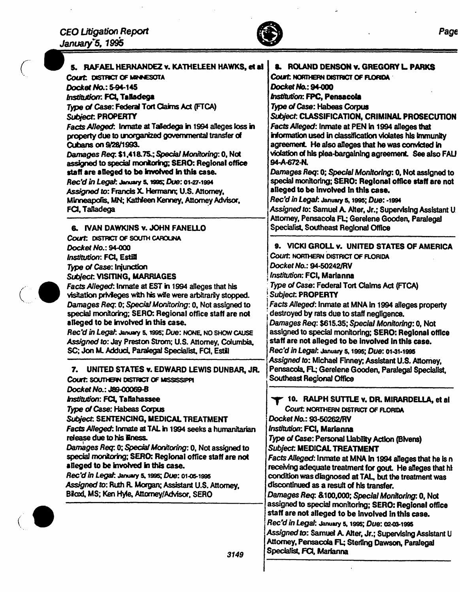$\ddot{\phantom{a}}$ 

 $\binom{1}{2}$ 

 $\bar{\mathcal{A}}$ 



 $\ddot{\varphi}$ 

 $\ddot{\phantom{0}}$ 

 $\ddot{\phantom{0}}$ 

 $\overline{a}$ 

| 5. RAFAEL HERNANDEZ v. KATHELEEN HAWKS, et al<br>COURT: DISTRICT OF MENNESOTA                   | <b>8. ROLAND DENSON v. GREGORY L. PARKS</b><br>Court. NORTHERN DISTRICT OF FLORIDA                                                                                                                                                    |
|-------------------------------------------------------------------------------------------------|---------------------------------------------------------------------------------------------------------------------------------------------------------------------------------------------------------------------------------------|
| Docket No.: 5-94-145                                                                            | Docket No.: 94-000                                                                                                                                                                                                                    |
| Institution: FCL Talladega                                                                      | <b>Institution: FPC, Pensacola</b>                                                                                                                                                                                                    |
| Type of Case: Federal Tort Claims Act (FTCA)                                                    | <b>Type of Case: Habeas Corpus</b>                                                                                                                                                                                                    |
| Subject: PROPERTY                                                                               | Subject: CLASSIFICATION, CRIMINAL PROSECUTION                                                                                                                                                                                         |
| Facts Alleged: Inmate at Talledega in 1994 alleges loss in                                      | Facts Alleged: Inmate at PEN in 1994 alleges that                                                                                                                                                                                     |
| property due to unorganized governmental transfer of                                            | information used in classification violates his immunity                                                                                                                                                                              |
| Cubans on 9/28/1993.                                                                            | agreement. He also alleges that he was convicted in                                                                                                                                                                                   |
| Damages Req. \$1,418.75.; Special Monitoring: 0, Not                                            | violation of his plea-bargaining agreement. See also FALI<br>94-A-672-N.<br>Damages Req: 0; Special Monitoring: 0, Not assigned to<br>special monitoring; SERO: Regional office staff are not<br>alleged to be involved in this case. |
| assigned to special monitoring; SERO: Regional office                                           |                                                                                                                                                                                                                                       |
| staff are alleged to be involved in this case.                                                  |                                                                                                                                                                                                                                       |
| Rec'd in Legal: January 5, 1995; Due: 01-27-1994                                                |                                                                                                                                                                                                                                       |
| Assigned to: Francis X. Hermann; U.S. Attorney,                                                 |                                                                                                                                                                                                                                       |
| Minneapolis, MN; Kathleen Kenney, Attorney Advisor,                                             | Rec'd in Legal: January 5, 1995; Due: -1994                                                                                                                                                                                           |
| FCI, Talladega                                                                                  | Assigned to: Samuel A. Alter, Jr.; Supervising Assistant U                                                                                                                                                                            |
| 6. IVAN DAWKINS v. JOHN FANELLO                                                                 | Attorney, Pensacola FL; Gerelene Gooden, Paralegal<br>Specialist, Southeast Regional Office                                                                                                                                           |
|                                                                                                 |                                                                                                                                                                                                                                       |
| Court: DISTRICT OF SOUTH CAROLINA<br>Docket No.: 94-000                                         | 9. VICKI GROLL v. UNITED STATES OF AMERICA                                                                                                                                                                                            |
| Institution: FCL, Estill                                                                        | Court: NORTHERN DISTRICT OF FLORIDA                                                                                                                                                                                                   |
| Type of Case: Injunction                                                                        | Docket No.: 94-50242/RV                                                                                                                                                                                                               |
| Subject: VISITING, MARRIAGES                                                                    | Institution: FCI, Marianna                                                                                                                                                                                                            |
| Facts Alleged: Inmate at EST in 1994 alleges that his                                           | Type of Case: Federal Tort Claims Act (FTCA)                                                                                                                                                                                          |
| visitation privileges with his wife were arbitrarily stopped.                                   | <b>Subject: PROPERTY</b><br>Facts Alleged: Inmate at MNA in 1994 alleges property                                                                                                                                                     |
| Damages Req. 0; Special Monitoring: 0, Not assigned to                                          |                                                                                                                                                                                                                                       |
| special monitoring; SERO: Regional office staff are not                                         | destroyed by rats due to staff negligence.                                                                                                                                                                                            |
| alleged to be involved in this case.                                                            | Damages Req: \$615.35; Special Monitoring: 0, Not<br>assigned to special monitoring; SERO: Regional office                                                                                                                            |
| Rec'd in Legal: January 5, 1995; Due: NONE, NO SHOW CAUSE                                       |                                                                                                                                                                                                                                       |
| Assigned to: Jay Preston Strom; U.S. Attorney, Columbia,                                        | staff are not alleged to be involved in this case.                                                                                                                                                                                    |
| SC; Jon M. Adduci, Paralegal Specialist, FCI, Estill                                            | Rec'd in Legal: January 5, 1995; Due: 01-31-1995                                                                                                                                                                                      |
|                                                                                                 | Assigned to: Michael Finney; Assistant U.S. Attorney,                                                                                                                                                                                 |
| 7. UNITED STATES v. EDWARD LEWIS DUNBAR, JR.                                                    | Pensacola, FL; Gerelene Gooden, Paralegal Specialist,                                                                                                                                                                                 |
| Court: SOUTHERN DISTRICT OF MISSISSIPPI                                                         | <b>Southeast Regional Office</b>                                                                                                                                                                                                      |
| Docket No.: J89-00069-B                                                                         |                                                                                                                                                                                                                                       |
| Institution: FCL, Tallahassee                                                                   | 10. RALPH SUTTLE v. DR. MIRARDELLA, et al.                                                                                                                                                                                            |
| Type of Case: Habeas Corpus                                                                     | Court: NORTHERN DISTRICT OF FLORIDA                                                                                                                                                                                                   |
| Subject. SENTENCING, MEDICAL TREATMENT                                                          | Docket No.: 93-50262/RV                                                                                                                                                                                                               |
| Facts Alleged: Inmate at TAL in 1994 seeks a humanitarian                                       | Institution: FCI, Marianna                                                                                                                                                                                                            |
| release due to his liness.                                                                      | Type of Case: Personal Llability Action (Bivens)                                                                                                                                                                                      |
| Damages Req. 0; Special Monitoring: 0, Not assigned to                                          | Subject: MEDICAL TREATMENT                                                                                                                                                                                                            |
| special monitoring; SERO: Regional office staff are not<br>alleged to be involved in this case. | Facts Alleged: Inmate at MNA In 1994 alleges that he is n                                                                                                                                                                             |
| Rec'd in Legal: January 5, 1995; Due: 01-05-1995                                                | receiving adequate treatment for gout. He alleges that hi                                                                                                                                                                             |
| Assigned to: Ruth R. Morgan; Assistant U.S. Attorney.                                           | condition was diagnosed at TAL, but the treatment was<br>discontinued as a result of his transfer.                                                                                                                                    |
| Biloxi, MS; Ken Hyle, Attorney/Advisor, SERO                                                    |                                                                                                                                                                                                                                       |
|                                                                                                 | Damages Req: &100,000; Special Monitoring: 0, Not<br>assigned to special monitoring; SERO: Regional office                                                                                                                            |
|                                                                                                 | staff are not alleged to be involved in this case.                                                                                                                                                                                    |
|                                                                                                 | Rec'd in Legal: January 5, 1995; Due: 02-03-1995                                                                                                                                                                                      |
|                                                                                                 | Assigned to: Samuel A. Alter, Jr.; Supervising Assistant U                                                                                                                                                                            |
|                                                                                                 | Attorney, Pensacola FL; Sterling Dawson, Paralegal                                                                                                                                                                                    |
|                                                                                                 | Specialist, FCI, Marianna                                                                                                                                                                                                             |
| 3149                                                                                            |                                                                                                                                                                                                                                       |

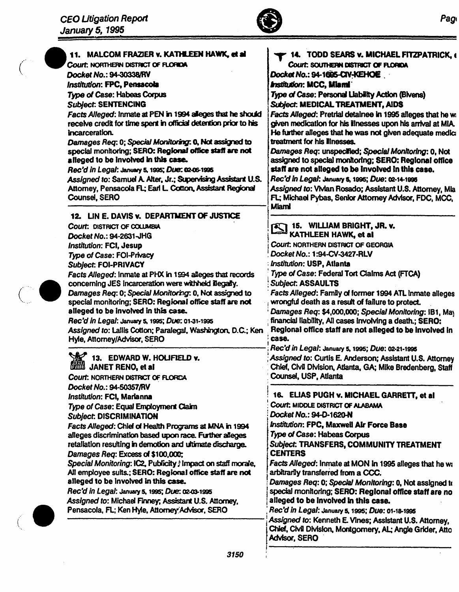

| Attorney, Pensacola FL; Earl L. Cotton, Assistant Regional<br>Assigned to: Vivian Rosado; Assistant U.S. Attorney, Mia<br><b>Counsel, SERO</b><br>FL; Michael Pybas, Senior Attorney Advisor, FDC, MCC,                                                                                                                                                                                                                                                                                                                                                                                                                                                                                                                                                                                                                                                                                                                                                                                                                                                                                                                                                                                                                                                                                                                                                                                                      | Facts Alleged: Pretrial detainee in 1995 alleges that he w<br>given medication for his illnesses upon his arrival at MIA.<br>He further alleges that he was not given adequate medic<br>Damages Req: unspecified; Special Monitoring: 0, Not<br>assigned to special monitoring; SERO: Regional office<br>staff are not alleged to be involved in this case.        |
|--------------------------------------------------------------------------------------------------------------------------------------------------------------------------------------------------------------------------------------------------------------------------------------------------------------------------------------------------------------------------------------------------------------------------------------------------------------------------------------------------------------------------------------------------------------------------------------------------------------------------------------------------------------------------------------------------------------------------------------------------------------------------------------------------------------------------------------------------------------------------------------------------------------------------------------------------------------------------------------------------------------------------------------------------------------------------------------------------------------------------------------------------------------------------------------------------------------------------------------------------------------------------------------------------------------------------------------------------------------------------------------------------------------|--------------------------------------------------------------------------------------------------------------------------------------------------------------------------------------------------------------------------------------------------------------------------------------------------------------------------------------------------------------------|
| Miami<br>12. LIN E. DAVIS v. DEPARTMENT OF JUSTICE<br>15. WILLIAM BRIGHT, JR. v.<br>Court: DISTRICT OF COLUMBIA<br>$\boldsymbol{\mathbb{Z}}$<br>KATHLEEN HAWK, et al<br>Docket No.: 94-2631-JHG<br>Court. NORTHERN DISTRICT OF GEORGIA<br><b>Institution: FCI, Jesup</b><br>Docket No.: 1:94-CV-3427-RLV<br>Type of Case: FOI-Privacy<br><b>Institution: USP, Atlanta</b><br>Subject: FOI-PRIVACY<br>Type of Case: Federal Tort Claims Act (FTCA)<br>Facts Alleged: Inmate at PHX in 1994 alleges that records<br>concerning JES incarceration were withheld illegally.<br><b>Subject: ASSAULTS</b><br>Damages Req: 0; Special Monitoring: 0, Not assigned to<br>special monitoring; SERO: Regional office staff are not<br>wrongful death as a result of failure to protect.<br>alleged to be involved in this case.<br>Rec'd in Legal: January 5, 1995; Due: 01-31-1995<br>Assigned to: Lallis Cotton; Paralegal, Washington, D.C.; Ken<br>case.<br>Hyle, Attorney/Advisor, SERO<br>Rec'd in Legal: January 5, 1995; Due: 02-21-1995<br>13. EDWARD W. HOLIFIELD v.<br>JANET RENO, et al<br>Counsel, USP, Atlanta<br>Court: NORTHERN DISTRICT OF FLORDA                                                                                                                                                                                                                                                     | Facts Alleged: Family of former 1994 ATL inmate alleges<br>Damages Req: \$4,000,000; Special Monitoring: IB1, May<br>financial liability, All cases involving a death.; SERO:<br>Regional office staff are not alleged to be involved in<br>Assigned to: Curtis E. Anderson; Assistant U.S. Attorney<br>Chief, Civil Division, Atlanta, GA; Mike Bredenberg, Staff |
| Docket No.: 94-50357/RV<br>16. ELIAS PUGH v. MICHAEL GARRETT, et al.<br>Institution: FCI, Marianna<br>Court: MIDDLE DISTRICT OF ALABAMA<br>Type of Case: Equal Employment Claim<br>Docket No.: 94-D-1620-N<br>Subject. DISCRIMINATION<br>Institution: FPC, Maxwell Air Force Base<br>Facts Alleged: Chief of Health Programs at MNA in 1994<br>Type of Case: Habeas Corpus<br>alleges discrimination based upon race. Further alleges<br>retallation resulting in demotion and ultimate discharge.<br>Subject. TRANSFERS, COMMUNITY TREATMENT<br><b>CENTERS</b><br>Damages Req: Excess of \$100,000;<br>Special Monitoring: IC2, Publicity ; Impact on staff morale,<br>Facts Alleged: Inmate at MON in 1995 alleges that he wi<br>All employee suits.; SERO: Regional office staff are not<br>arbitrarily transferred from a CCC.<br>alleged to be involved in this case.<br>Damages Req: 0; Special Monitoring: 0, Not assigned to<br>Rec'd in Legal: January 5, 1995; Due: 02-03-1995<br>special monitoring; SERO: Regional office staff are no<br>Assigned to: Michael Finney; Assistant U.S. Attorney,<br>alleged to be involved in this case.<br>Pensacola, FL; Ken Hyle, Attorney Advisor, SERO<br>Rec'd in Legal: January 5, 1995; Due: 01-18-1995<br>Assigned to: Kenneth E. Vines; Assistant U.S. Attorney,<br>Chief, Civil Division, Montgornery, AL; Angle Grider, Atto<br>Advisor, SERO<br>3150 |                                                                                                                                                                                                                                                                                                                                                                    |



 $\int_{-\infty}^{\infty}$ 

 $\bar{z}$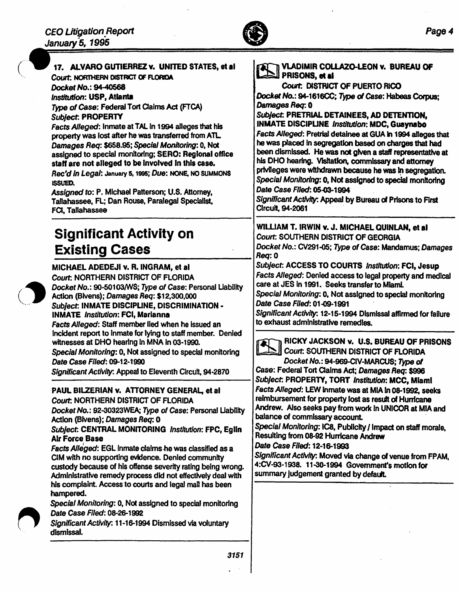

l,

|  | 17. ALVARO GUTIERREZ v. UNITED STATES, et al.<br>Court, NORTHERN DISTRICT OF FLORIDA<br>Docket No.: 94-40568<br>Institution: USP, Atlanta<br>Type of Case: Federal Tort Claims Act (FTCA)<br>Subject: PROPERTY<br>Facts Alleged: Inmate at TAL in 1994 alleges that his<br>property was lost after he was transferred from ATL.<br>Damages Req: \$658.95; Special Monitoring: 0, Not<br>assigned to special monitoring; SERO: Regional office<br>staff are not alleged to be involved in this case.<br>Rec'd in Legal: January 5, 1995; Due: NONE, NO SUMMONS<br><b>ISSUED.</b><br>Assigned to: P. Michael Patterson; U.S. Attorney,<br>Tallahassee, FL; Dan Rouse, Paralegal Specialist,<br>FCI, Tallahassee                                  | VLADIMIR COLLAZO-LEON v. BUREAU OF<br>I PRISONS, et al.<br>Court. DISTRICT OF PUERTO RICO<br>Docket No.: 94-1616CC; Type of Case: Habeas Corpus;<br>Damages Req: 0<br>Subject: PRETRIAL DETAINEES, AD DETENTION,<br><b>INMATE DISCIPLINE Institution: MDC, Guaynabo</b><br>Facts Alleged: Pretrial detainee at GUA in 1994 alleges that<br>he was placed in segregation based on charges that had<br>been dismissed. He was not given a staff representative at<br>his DHO hearing. Visitation, commissary and attorney<br>privileges were withdrawn because he was in segregation.<br>Special Monitoring: 0, Not assigned to special monitoring<br>Date Case Filed: 05-03-1994<br>Significant Activity: Appeal by Bureau of Prisons to First<br>Circuit, 94-2061<br>WILLIAM T. IRWIN v. J. MICHAEL QUINLAN, et al |
|--|------------------------------------------------------------------------------------------------------------------------------------------------------------------------------------------------------------------------------------------------------------------------------------------------------------------------------------------------------------------------------------------------------------------------------------------------------------------------------------------------------------------------------------------------------------------------------------------------------------------------------------------------------------------------------------------------------------------------------------------------|--------------------------------------------------------------------------------------------------------------------------------------------------------------------------------------------------------------------------------------------------------------------------------------------------------------------------------------------------------------------------------------------------------------------------------------------------------------------------------------------------------------------------------------------------------------------------------------------------------------------------------------------------------------------------------------------------------------------------------------------------------------------------------------------------------------------|
|  | <b>Significant Activity on</b><br><b>Existing Cases</b>                                                                                                                                                                                                                                                                                                                                                                                                                                                                                                                                                                                                                                                                                        | Court: SOUTHERN DISTRICT OF GEORGIA<br>Docket No.: CV291-05; Type of Case: Mandamus; Damages                                                                                                                                                                                                                                                                                                                                                                                                                                                                                                                                                                                                                                                                                                                       |
|  | MICHAEL ADEDEJI v. R. INGRAM, et al<br>Court: NORTHERN DISTRICT OF FLORIDA<br>Docket No.: 90-50103/WS; Type of Case: Personal Liability<br>Action (Bivens); Damages Req: \$12,300,000<br>Subject: INMATE DISCIPLINE, DISCRIMINATION -<br><b>INMATE</b> Institution: FCI, Marianna<br>Facts Alleged: Staff member lied when he issued an<br>incident report to inmate for lying to staff member. Denied<br>witnesses at DHO hearing in MNA in 03-1990.<br>Special Monitoring: 0, Not assigned to special monitoring<br>Date Case Filed: 09-12-1990<br>Significant Activity: Appeal to Eleventh Circuit, 94-2870                                                                                                                                 | Req: 0<br>Subject: ACCESS TO COURTS Institution: FCI, Jesup<br>Facts Alleged: Denied access to legal property and medical<br>care at JES in 1991. Seeks transfer to Miaml.<br>Special Monitoring: 0, Not assigned to special monitoring<br>Date Case Filed: 01-09-1991<br>Significant Activity: 12-15-1994 Dismissal affirmed for failure<br>to exhaust administrative remedies.<br>RICKY JACKSON v. U.S. BUREAU OF PRISONS<br>Court: SOUTHERN DISTRICT OF FLORIDA<br>Docket No.: 94-969-CIV-MARCUS; Type of<br>Case: Federal Tort Claims Act; Damages Req: \$996                                                                                                                                                                                                                                                  |
|  | PAUL BILZERIAN v. ATTORNEY GENERAL, et al<br>Court: NORTHERN DISTRICT OF FLORIDA<br>Docket No.: 92-30323WEA; Type of Case: Personal Liability<br>Action (Bivens); Damages Req: 0<br>Subject: CENTRAL MONITORING Institution: FPC, Eglin<br><b>Air Force Base</b><br>Facts Alleged: EGL inmate claims he was classified as a<br>CIM with no supporting evidence. Denied community<br>custody because of his offense severity rating being wrong.<br>Administrative remedy process did not effectively deal with<br>his complaint. Access to courts and legal mail has been<br>hampered.<br>Special Monitoring: 0, Not assigned to special monitoring<br>Date Case Filed: 08-26-1992<br>Significant Activity: 11-16-1994 Dismissed via voluntary | Subject: PROPERTY, TORT Institution: MCC, Miami<br>Facts Alleged: LEW inmate was at MIA in 08-1992, seeks<br>reimbursement for property lost as result of Hurricane<br>Andrew. Also seeks pay from work in UNICOR at MIA and<br>balance of commissary account.<br>Special Monitoring: IC8, Publicity / Impact on staff morale,<br>Resulting from 08-92 Hurricane Andrew<br>Date Case Filed: 12-16-1993<br>Significant Activity: Moved via change of venue from FPAM,<br>4:CV-93-1938. 11-30-1994 Government's motion for<br>summary judgement granted by default.                                                                                                                                                                                                                                                  |
|  | dismissal.                                                                                                                                                                                                                                                                                                                                                                                                                                                                                                                                                                                                                                                                                                                                     |                                                                                                                                                                                                                                                                                                                                                                                                                                                                                                                                                                                                                                                                                                                                                                                                                    |
|  | 3151                                                                                                                                                                                                                                                                                                                                                                                                                                                                                                                                                                                                                                                                                                                                           |                                                                                                                                                                                                                                                                                                                                                                                                                                                                                                                                                                                                                                                                                                                                                                                                                    |